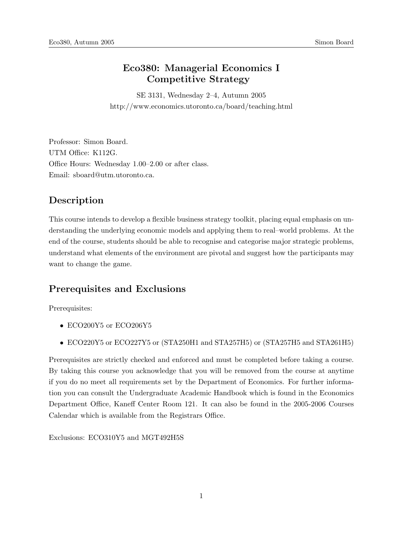## Eco380: Managerial Economics I Competitive Strategy

SE 3131, Wednesday 2–4, Autumn 2005 http://www.economics.utoronto.ca/board/teaching.html

Professor: Simon Board. UTM Office: K112G. Office Hours: Wednesday 1.00–2.00 or after class. Email: sboard@utm.utoronto.ca.

# Description

This course intends to develop a flexible business strategy toolkit, placing equal emphasis on understanding the underlying economic models and applying them to real–world problems. At the end of the course, students should be able to recognise and categorise major strategic problems, understand what elements of the environment are pivotal and suggest how the participants may want to change the game.

## Prerequisites and Exclusions

Prerequisites:

- ECO200Y5 or ECO206Y5
- ECO220Y5 or ECO227Y5 or (STA250H1 and STA257H5) or (STA257H5 and STA261H5)

Prerequisites are strictly checked and enforced and must be completed before taking a course. By taking this course you acknowledge that you will be removed from the course at anytime if you do no meet all requirements set by the Department of Economics. For further information you can consult the Undergraduate Academic Handbook which is found in the Economics Department Office, Kaneff Center Room 121. It can also be found in the 2005-2006 Courses Calendar which is available from the Registrars Office.

Exclusions: ECO310Y5 and MGT492H5S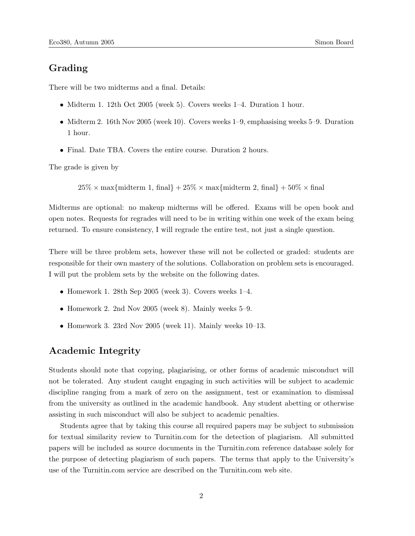# Grading

There will be two midterms and a final. Details:

- Midterm 1. 12th Oct 2005 (week 5). Covers weeks 1–4. Duration 1 hour.
- Midterm 2. 16th Nov 2005 (week 10). Covers weeks 1–9, emphasising weeks 5–9. Duration 1 hour.
- Final. Date TBA. Covers the entire course. Duration 2 hours.

The grade is given by

 $25\% \times \text{max}$ {midterm 1, final} +  $25\% \times \text{max}$ {midterm 2, final} +  $50\% \times \text{final}$ 

Midterms are optional: no makeup midterms will be offered. Exams will be open book and open notes. Requests for regrades will need to be in writing within one week of the exam being returned. To ensure consistency, I will regrade the entire test, not just a single question.

There will be three problem sets, however these will not be collected or graded: students are responsible for their own mastery of the solutions. Collaboration on problem sets is encouraged. I will put the problem sets by the website on the following dates.

- Homework 1. 28th Sep 2005 (week 3). Covers weeks  $1-4$ .
- Homework 2. 2nd Nov 2005 (week 8). Mainly weeks 5–9.
- Homework 3. 23rd Nov 2005 (week 11). Mainly weeks 10–13.

### Academic Integrity

Students should note that copying, plagiarising, or other forms of academic misconduct will not be tolerated. Any student caught engaging in such activities will be subject to academic discipline ranging from a mark of zero on the assignment, test or examination to dismissal from the university as outlined in the academic handbook. Any student abetting or otherwise assisting in such misconduct will also be subject to academic penalties.

Students agree that by taking this course all required papers may be subject to submission for textual similarity review to Turnitin.com for the detection of plagiarism. All submitted papers will be included as source documents in the Turnitin.com reference database solely for the purpose of detecting plagiarism of such papers. The terms that apply to the University's use of the Turnitin.com service are described on the Turnitin.com web site.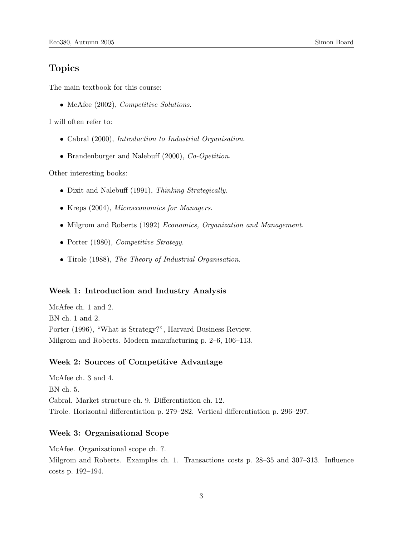### Topics

The main textbook for this course:

• McAfee (2002), *Competitive Solutions*.

I will often refer to:

- Cabral (2000), Introduction to Industrial Organisation.
- Brandenburger and Nalebuff (2000), Co-Opetition.

Other interesting books:

- Dixit and Nalebuff (1991), Thinking Strategically.
- Kreps (2004), Microeconomics for Managers.
- Milgrom and Roberts (1992) *Economics, Organization and Management*.
- Porter (1980), *Competitive Strategy*.
- Tirole (1988), The Theory of Industrial Organisation.

#### Week 1: Introduction and Industry Analysis

McAfee ch. 1 and 2. BN ch. 1 and 2. Porter (1996), "What is Strategy?", Harvard Business Review. Milgrom and Roberts. Modern manufacturing p. 2–6, 106–113.

#### Week 2: Sources of Competitive Advantage

McAfee ch. 3 and 4. BN ch. 5. Cabral. Market structure ch. 9. Differentiation ch. 12. Tirole. Horizontal differentiation p. 279–282. Vertical differentiation p. 296–297.

#### Week 3: Organisational Scope

McAfee. Organizational scope ch. 7. Milgrom and Roberts. Examples ch. 1. Transactions costs p. 28–35 and 307–313. Influence costs p. 192–194.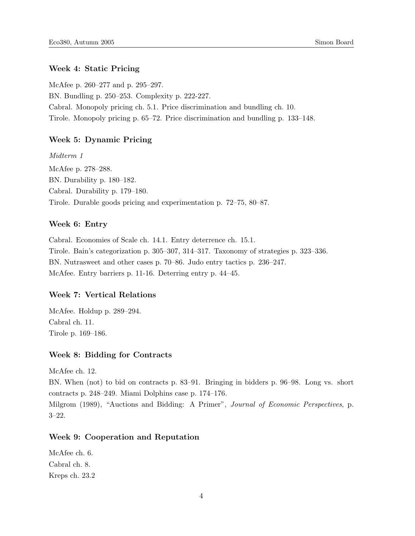#### Week 4: Static Pricing

McAfee p. 260–277 and p. 295–297. BN. Bundling p. 250–253. Complexity p. 222-227. Cabral. Monopoly pricing ch. 5.1. Price discrimination and bundling ch. 10. Tirole. Monopoly pricing p. 65–72. Price discrimination and bundling p. 133–148.

#### Week 5: Dynamic Pricing

Midterm 1 McAfee p. 278–288. BN. Durability p. 180–182. Cabral. Durability p. 179–180. Tirole. Durable goods pricing and experimentation p. 72–75, 80–87.

#### Week 6: Entry

Cabral. Economies of Scale ch. 14.1. Entry deterrence ch. 15.1. Tirole. Bain's categorization p. 305–307, 314–317. Taxonomy of strategies p. 323–336. BN. Nutrasweet and other cases p. 70–86. Judo entry tactics p. 236–247. McAfee. Entry barriers p. 11-16. Deterring entry p. 44–45.

#### Week 7: Vertical Relations

McAfee. Holdup p. 289–294. Cabral ch. 11. Tirole p. 169–186.

#### Week 8: Bidding for Contracts

McAfee ch. 12.

BN. When (not) to bid on contracts p. 83–91. Bringing in bidders p. 96–98. Long vs. short contracts p. 248–249. Miami Dolphins case p. 174–176. Milgrom (1989), "Auctions and Bidding: A Primer", Journal of Economic Perspectives, p.

3–22.

#### Week 9: Cooperation and Reputation

McAfee ch. 6. Cabral ch. 8. Kreps ch. 23.2